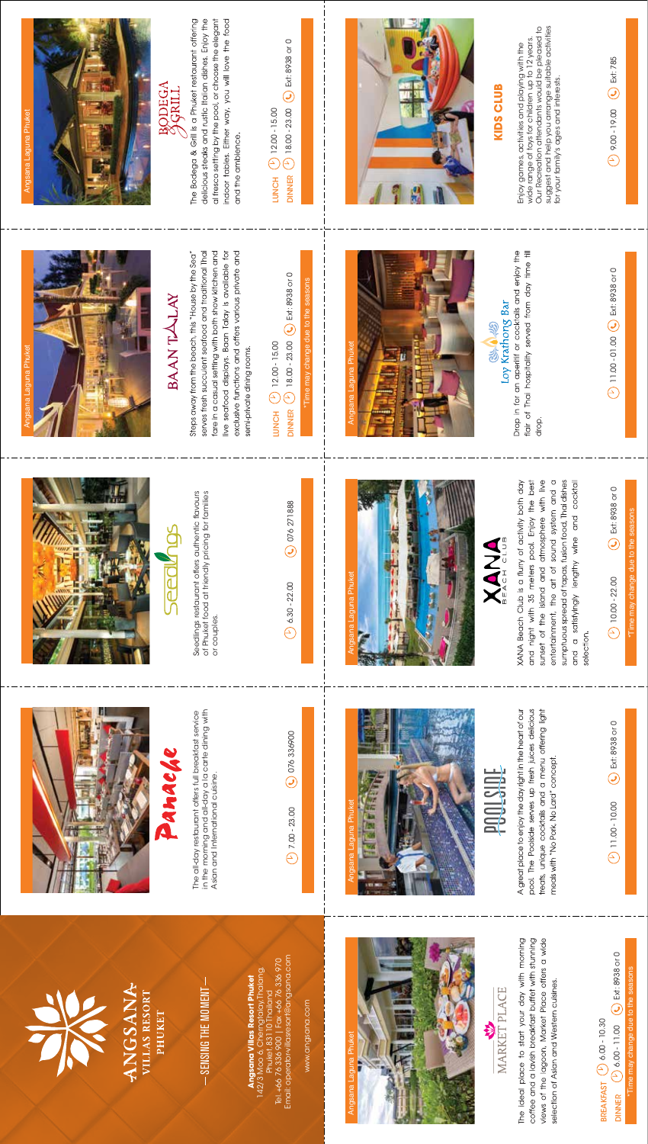

ANGSANA VILLAS RESORT PHUKET

## -SENSING THE MOMENT-SENSING THE MOMENT

The all-day restaurant offers full breakfast service in the morning and all-day a la carte dining with

The all-day restaurant offers full breakfast service

in the morning and all-day a la carte dining with

Seedlings restaurant offers authentic flavours of Phuket food at triendly pricing for families

peed

Seedlings restaurant offers authentic flavours<br>of Phuket food at triendly pricing for families

serves fresh succulent seafood and traditional Thai

Steps away from the beach, this "House by the Sea"

**BAAN TALAY** 

exclusive functions and offers various private and fare in a casual setting with both show kitchen and live seafood displays. Baan Talay is available for

semi-private dining rooms.

or couples.

or couples.

Asian and International cuisine.

Asian and International cuisine.

l.com Email: operator-villasresort@angsana.com Tel. +66 76 336 900 | Fax +66 76 336 970 Tel. +66 76 336 900 | Fax +66 76 336 970 142/3 Moo 6, Cherngtalay, Thalang, **Angsana Villas Resort Phuket** 142/3 Moo 6, Cherngtalay, Thalar<br>Phuket, 83110 Thailand Email: operator-villasresort@angsc Angsana Villas Resort Phu Phuket, 83110 Thailand

www.angsana.com "Time may change due to the seasons" www.angeredue to the seasons www.angeredue to the seasons www.angsana.com

076 336900

 $\overline{Q}$  076 336900

7.00 - 23.00

 $\circ$  7.00 - 23.00



The ideal place to start your day with morning views of the lagoon, Market Place offers a wide coffee and a lavish breakfast buffet with stunning selection of Asian and Western cuisines.

MARKET PLACE





selection.

 $\overline{C}$  Ext: 8938 or 0  $\circled{11.00 - 10.00}$ 



\*Time may change due to the seasons



 $\overline{P}$  11.00 - 01.00  $\overline{C}$  Ext: 8938 or 0 11.00 - 01.00 Ext: 8938 or 0





## **SODEGA GRILL**

The Bodega & Grill is a Phuket restaurant offering delicious steaks and rustic Italian dishes. Enjoy the al fresco setting by the pool, or choose the elegant indoor tables. Either way, you will love the food and the ambience.

 $\overline{P}$  18.00 - 23.00  $\overline{C}$  Ext: 8938 or 0  $18.00 - 23.00$  (  $\bullet$  ) Ext: 8938 or 0  $\binom{1}{2}$  12.00 - 15.00 12.00 - 15.00 LUNCH DINNER

 $\frac{1}{1}$ 

j

18.00 - 23.00 Ext: 8938 or 0

 $\overline{18.00}$  - 23.00  $\overline{18.00}$  Ext: 8938 or 0

Time may change due to the so

j

Angsana Laguna Phuket

Angsana Laguna Phuket

j

j

j

 $\frac{1}{1}$ 

Angsana Laguna Phuket

12.00 - 15.00

 $\odot$  12.00 - 15.00

LUNCH DINNER

076 271888

 $Q$  076 271888

6.30 - 22.00

 $\binom{1}{2}$  6.30 - 22.00



## KIDS CLUB **KIDS CLUB**

suggest and help you arrange suitable activities<br>for your family's ages and interests. suggest and help you arrange suitable activities Our Recreation attendants would be pleased to Our Recreation attendants would be pleased to wide range of toys for children up to 12 years. wide range of toys for children up to 12 years. Enjoy games, activities and playing with the Enjoy games, activities and playing with the for your family's ages and interests.

flair of Thai hospitality served from day time till Drop in for an aperitif or cocktails and enjoy the

drop.

sunset of the island and atmosphere with live entertainment, the art of sound system and a sumptuous spread of tapas, fusion food, Thai dishes and a satisfyingly lengthy wine and cocktail

XANA Beach Club is a flurry of activity both day and night with 35 meters pool. Enjoy the best

A great place to enjoy the day right in the heart of our pool. The Poolside serves up fresh juices delicious treats, unique cocktails and a menu offering light

**POOLS SUPE** 

 $X_{\text{rel}}^{\text{A}}M_{\text{clus}}^{\text{A}}$ 

Loy Krathong Bar

**CHO-49** 

 $\bigodot$  Ext: 785  $\left( \begin{matrix} 1 \\ 2 \end{matrix} \right)$  9.00 - 19.00